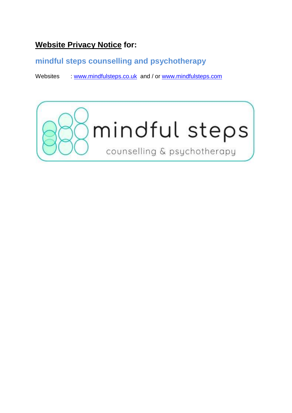# **Website Privacy Notice for:**

## **mindful steps counselling and psychotherapy**

Websites : [www.mindfulsteps.co.uk](http://www.mindfulsteps.co.uk/) and / or [www.mindfulsteps.com](http://www.mindfulsteps.com/)

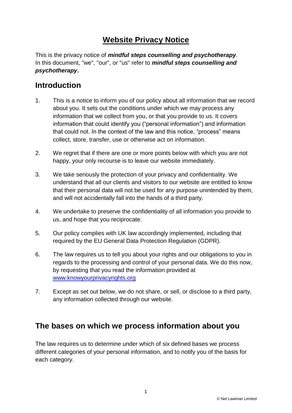# **Website Privacy Notice**

This is the privacy notice of *mindful steps counselling and psychotherapy*. In this document, "we", "our", or "us" refer to *mindful steps counselling and psychotherapy***.**

### **Introduction**

- 1. This is a notice to inform you of our policy about all information that we record about you. It sets out the conditions under which we may process any information that we collect from you, or that you provide to us. It covers information that could identify you ("personal information") and information that could not. In the context of the law and this notice, "process" means collect, store, transfer, use or otherwise act on information.
- 2. We regret that if there are one or more points below with which you are not happy, your only recourse is to leave our website immediately.
- 3. We take seriously the protection of your privacy and confidentiality. We understand that all our clients and visitors to our website are entitled to know that their personal data will not be used for any purpose unintended by them, and will not accidentally fall into the hands of a third party.
- 4. We undertake to preserve the confidentiality of all information you provide to us, and hope that you reciprocate.
- 5. Our policy complies with UK law accordingly implemented, including that required by the EU General Data Protection Regulation (GDPR).
- 6. The law requires us to tell you about your rights and our obligations to you in regards to the processing and control of your personal data. We do this now, by requesting that you read the information provided at [www.knowyourprivacyrights.org](http://www.knowyourprivacyrights.org/)
- 7. Except as set out below, we do not share, or sell, or disclose to a third party, any information collected through our website.

## **The bases on which we process information about you**

The law requires us to determine under which of six defined bases we process different categories of your personal information, and to notify you of the basis for each category.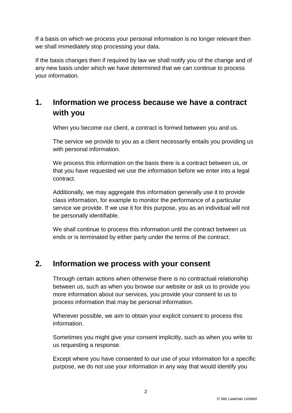If a basis on which we process your personal information is no longer relevant then we shall immediately stop processing your data.

If the basis changes then if required by law we shall notify you of the change and of any new basis under which we have determined that we can continue to process your information.

# **1. Information we process because we have a contract with you**

When you become our client, a contract is formed between you and us.

The service we provide to you as a client necessarily entails you providing us with personal information.

We process this information on the basis there is a contract between us, or that you have requested we use the information before we enter into a legal contract.

Additionally, we may aggregate this information generally use it to provide class information, for example to monitor the performance of a particular service we provide. If we use it for this purpose, you as an individual will not be personally identifiable.

We shall continue to process this information until the contract between us ends or is terminated by either party under the terms of the contract.

### **2. Information we process with your consent**

Through certain actions when otherwise there is no contractual relationship between us, such as when you browse our website or ask us to provide you more information about our services, you provide your consent to us to process information that may be personal information.

Wherever possible, we aim to obtain your explicit consent to process this information.

Sometimes you might give your consent implicitly, such as when you write to us requesting a response.

Except where you have consented to our use of your information for a specific purpose, we do not use your information in any way that would identify you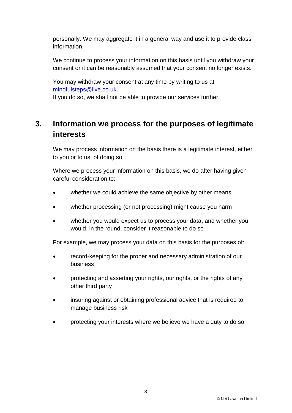personally. We may aggregate it in a general way and use it to provide class information.

We continue to process your information on this basis until you withdraw your consent or it can be reasonably assumed that your consent no longer exists.

You may withdraw your consent at any time by writing to us at mindfulsteps@live.co.uk. If you do so, we shall not be able to provide our services further.

## **3. Information we process for the purposes of legitimate interests**

We may process information on the basis there is a legitimate interest, either to you or to us, of doing so.

Where we process your information on this basis, we do after having given careful consideration to:

- whether we could achieve the same objective by other means
- whether processing (or not processing) might cause you harm
- whether you would expect us to process your data, and whether you would, in the round, consider it reasonable to do so

For example, we may process your data on this basis for the purposes of:

- record-keeping for the proper and necessary administration of our business
- protecting and asserting your rights, our rights, or the rights of any other third party
- insuring against or obtaining professional advice that is required to manage business risk
- protecting your interests where we believe we have a duty to do so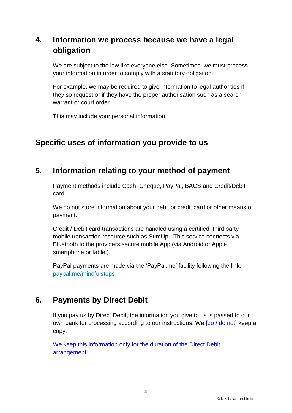# **4. Information we process because we have a legal obligation**

We are subject to the law like everyone else. Sometimes, we must process your information in order to comply with a statutory obligation.

For example, we may be required to give information to legal authorities if they so request or if they have the proper authorisation such as a search warrant or court order.

This may include your personal information.

## **Specific uses of information you provide to us**

### **5. Information relating to your method of payment**

Payment methods include Cash, Cheque, PayPal, BACS and Credit/Debit card.

We do not store information about your debit or credit card or other means of payment.

Credit / Debit card transactions are handled using a certified third party mobile transaction resource such as SumUp. This service connects via Bluetooth to the providers secure mobile App (via Android or Apple smartphone or tablet).

PayPal payments are made via the 'PayPal.me' facility following the link: [paypal.me/mindfulsteps](wlmailhtml:%7b728088F4-230D-429C-A261-EA1864D9D55F%7dmid:/00000115/PayPal.me/mindfulsteps?utm_source=unp&utm_medium=email&utm_campaign=PPC000628&utm_unptid=b697af24-557f-11e9-af8b-441ea14ee4c4&ppid=PPC000628&cnac=GB&rsta=en_GB&cust=QXC9SBEJM6UBC&unptid=b697af24-557f-11e9-af8b-441ea14ee4c4&calc=99cbe064d2812&unp_tpcid=ppme-social-user-profile-created&page=main:email:PPC000628:::&pgrp=main:email&e=cl&mchn=em&s=ci&mail=sys#_blank)

#### **6. Payments by Direct Debit**

If you pay us by Direct Debit, the information you give to us is passed to our own bank for processing according to our instructions. We [do / do not] keep a copy.

We keep this information only for the duration of the Direct Debit arrangement.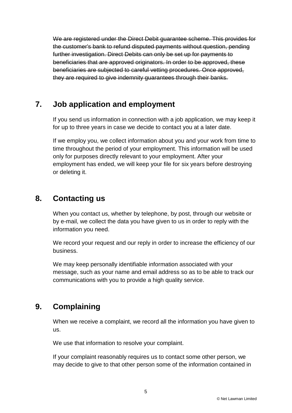We are registered under the Direct Debit guarantee scheme. This provides for the customer's bank to refund disputed payments without question, pending further investigation. Direct Debits can only be set up for payments to beneficiaries that are approved originators. In order to be approved, these beneficiaries are subjected to careful vetting procedures. Once approved, they are required to give indemnity guarantees through their banks.

## **7. Job application and employment**

If you send us information in connection with a job application, we may keep it for up to three years in case we decide to contact you at a later date.

If we employ you, we collect information about you and your work from time to time throughout the period of your employment. This information will be used only for purposes directly relevant to your employment. After your employment has ended, we will keep your file for six years before destroying or deleting it.

## **8. Contacting us**

When you contact us, whether by telephone, by post, through our website or by e-mail, we collect the data you have given to us in order to reply with the information you need.

We record your request and our reply in order to increase the efficiency of our business.

We may keep personally identifiable information associated with your message, such as your name and email address so as to be able to track our communications with you to provide a high quality service.

## **9. Complaining**

When we receive a complaint, we record all the information you have given to us.

We use that information to resolve your complaint.

If your complaint reasonably requires us to contact some other person, we may decide to give to that other person some of the information contained in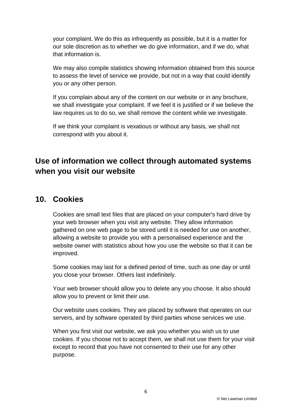your complaint. We do this as infrequently as possible, but it is a matter for our sole discretion as to whether we do give information, and if we do, what that information is.

We may also compile statistics showing information obtained from this source to assess the level of service we provide, but not in a way that could identify you or any other person.

If you complain about any of the content on our website or in any brochure, we shall investigate your complaint. If we feel it is justified or if we believe the law requires us to do so, we shall remove the content while we investigate.

If we think your complaint is vexatious or without any basis, we shall not correspond with you about it.

# **Use of information we collect through automated systems when you visit our website**

### **10. Cookies**

Cookies are small text files that are placed on your computer's hard drive by your web browser when you visit any website. They allow information gathered on one web page to be stored until it is needed for use on another, allowing a website to provide you with a personalised experience and the website owner with statistics about how you use the website so that it can be improved.

Some cookies may last for a defined period of time, such as one day or until you close your browser. Others last indefinitely.

Your web browser should allow you to delete any you choose. It also should allow you to prevent or limit their use.

Our website uses cookies. They are placed by software that operates on our servers, and by software operated by third parties whose services we use.

When you first visit our website, we ask you whether you wish us to use cookies. If you choose not to accept them, we shall not use them for your visit except to record that you have not consented to their use for any other purpose.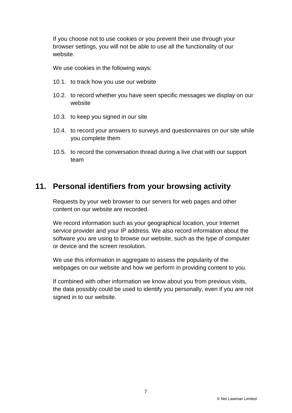If you choose not to use cookies or you prevent their use through your browser settings, you will not be able to use all the functionality of our website.

We use cookies in the following ways:

- 10.1. to track how you use our website
- 10.2. to record whether you have seen specific messages we display on our website
- 10.3. to keep you signed in our site
- 10.4. to record your answers to surveys and questionnaires on our site while you complete them
- 10.5. to record the conversation thread during a live chat with our support team

#### **11. Personal identifiers from your browsing activity**

Requests by your web browser to our servers for web pages and other content on our website are recorded.

We record information such as your geographical location, your Internet service provider and your IP address. We also record information about the software you are using to browse our website, such as the type of computer or device and the screen resolution.

We use this information in aggregate to assess the popularity of the webpages on our website and how we perform in providing content to you.

If combined with other information we know about you from previous visits, the data possibly could be used to identify you personally, even if you are not signed in to our website.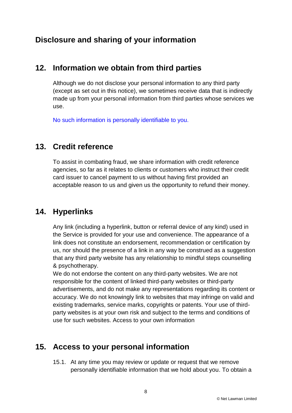## **Disclosure and sharing of your information**

### **12. Information we obtain from third parties**

Although we do not disclose your personal information to any third party (except as set out in this notice), we sometimes receive data that is indirectly made up from your personal information from third parties whose services we use.

No such information is personally identifiable to you.

### **13. Credit reference**

To assist in combating fraud, we share information with credit reference agencies, so far as it relates to clients or customers who instruct their credit card issuer to cancel payment to us without having first provided an acceptable reason to us and given us the opportunity to refund their money.

### **14. Hyperlinks**

Any link (including a hyperlink, button or referral device of any kind) used in the Service is provided for your use and convenience. The appearance of a link does not constitute an endorsement, recommendation or certification by us, nor should the presence of a link in any way be construed as a suggestion that any third party website has any relationship to mindful steps counselling & psychotherapy.

We do not endorse the content on any third-party websites. We are not responsible for the content of linked third-party websites or third-party advertisements, and do not make any representations regarding its content or accuracy. We do not knowingly link to websites that may infringe on valid and existing trademarks, service marks, copyrights or patents. Your use of thirdparty websites is at your own risk and subject to the terms and conditions of use for such websites. Access to your own information

## **15. Access to your personal information**

15.1. At any time you may review or update or request that we remove personally identifiable information that we hold about you. To obtain a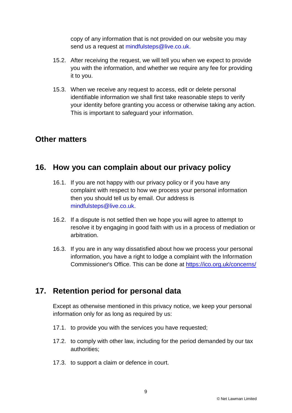copy of any information that is not provided on our website you may send us a request at mindfulsteps@live.co.uk.

- 15.2. After receiving the request, we will tell you when we expect to provide you with the information, and whether we require any fee for providing it to you.
- 15.3. When we receive any request to access, edit or delete personal identifiable information we shall first take reasonable steps to verify your identity before granting you access or otherwise taking any action. This is important to safeguard your information.

#### **Other matters**

### **16. How you can complain about our privacy policy**

- 16.1. If you are not happy with our privacy policy or if you have any complaint with respect to how we process your personal information then you should tell us by email. Our address is mindfulsteps@live.co.uk.
- 16.2. If a dispute is not settled then we hope you will agree to attempt to resolve it by engaging in good faith with us in a process of mediation or arbitration.
- 16.3. If you are in any way dissatisfied about how we process your personal information, you have a right to lodge a complaint with the Information Commissioner's Office. This can be done at<https://ico.org.uk/concerns/>

### **17. Retention period for personal data**

Except as otherwise mentioned in this privacy notice, we keep your personal information only for as long as required by us:

- 17.1. to provide you with the services you have requested;
- 17.2. to comply with other law, including for the period demanded by our tax authorities;
- 17.3. to support a claim or defence in court.